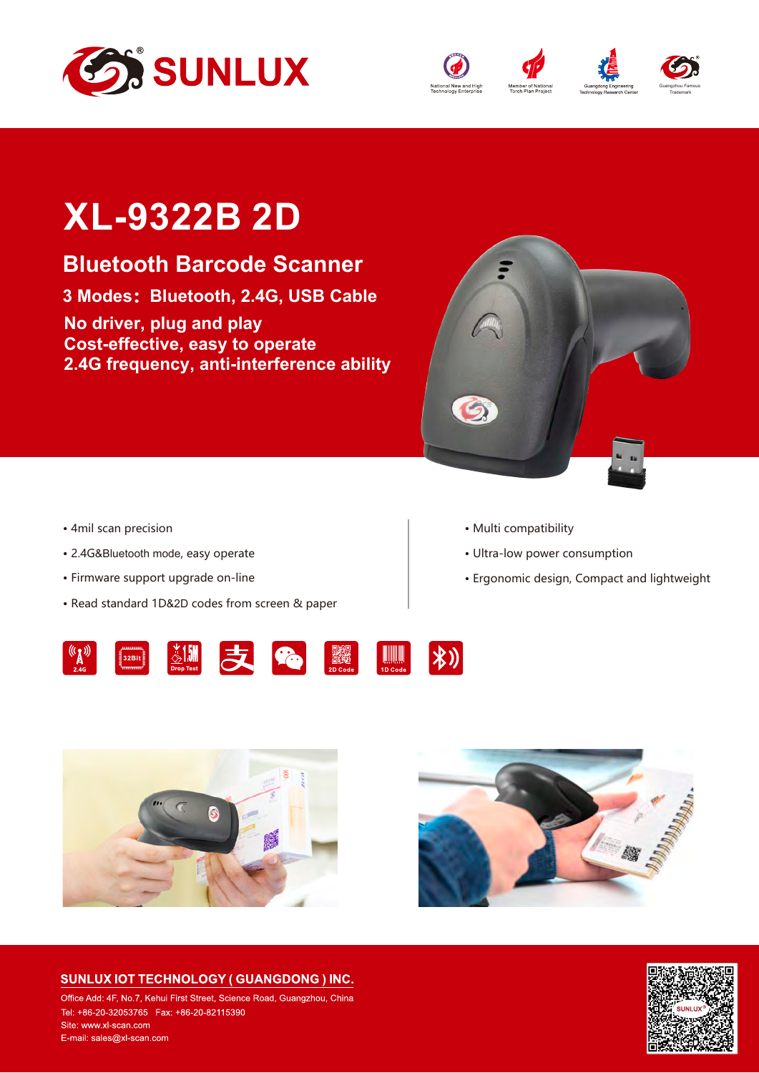





Guangzhou Famous Trademark

## **XL-9322B 2D**

## **Bluetooth Barcode Scanner**

**3 Modes:Bluetooth, 2.4G, USB Cable**

**No driver, plug and play Cost-effective, easy to operate 2.4G frequency, anti-interference ability**



- **·** 4mil scan precision
- **·** 2.4G&Bluetooth mode, easy operate
- **·** Firmware support upgrade on-line
- **·** Read standard 1D&2D codes from screen & paper
- **·** Multi compatibility
- **·** Ultra-low power consumption
- **·** Ergonomic design, Compact and lightweight









Office Add: 4F, No.7, Kehui First Street, Science Road, Guangzhou, China Site: www.xl-scan.com E-mail: sales@xl-scan.com